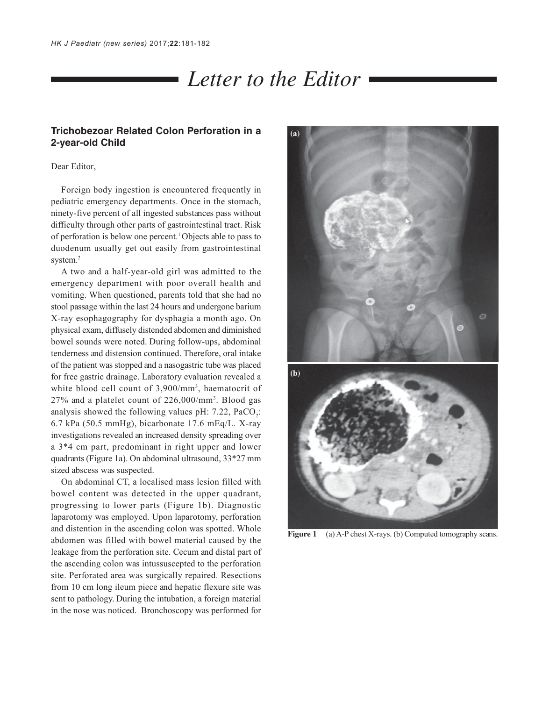## *Letter to the Editor*

## **Trichobezoar Related Colon Perforation in a 2-year-old Child**

Dear Editor,

Foreign body ingestion is encountered frequently in pediatric emergency departments. Once in the stomach, ninety-five percent of all ingested substances pass without difficulty through other parts of gastrointestinal tract. Risk of perforation is below one percent.1 Objects able to pass to duodenum usually get out easily from gastrointestinal system.<sup>2</sup>

A two and a half-year-old girl was admitted to the emergency department with poor overall health and vomiting. When questioned, parents told that she had no stool passage within the last 24 hours and undergone barium X-ray esophagography for dysphagia a month ago. On physical exam, diffusely distended abdomen and diminished bowel sounds were noted. During follow-ups, abdominal tenderness and distension continued. Therefore, oral intake of the patient was stopped and a nasogastric tube was placed for free gastric drainage. Laboratory evaluation revealed a white blood cell count of 3,900/mm<sup>3</sup>, haematocrit of 27% and a platelet count of 226,000/mm3 . Blood gas analysis showed the following values pH:  $7.22$ ,  $PaCO_2$ : 6.7 kPa (50.5 mmHg), bicarbonate 17.6 mEq/L. X-ray investigations revealed an increased density spreading over a 3\*4 cm part, predominant in right upper and lower quadrants (Figure 1a). On abdominal ultrasound, 33\*27 mm sized abscess was suspected.

On abdominal CT, a localised mass lesion filled with bowel content was detected in the upper quadrant, progressing to lower parts (Figure 1b). Diagnostic laparotomy was employed. Upon laparotomy, perforation and distention in the ascending colon was spotted. Whole abdomen was filled with bowel material caused by the leakage from the perforation site. Cecum and distal part of the ascending colon was intussuscepted to the perforation site. Perforated area was surgically repaired. Resections from 10 cm long ileum piece and hepatic flexure site was sent to pathology. During the intubation, a foreign material in the nose was noticed. Bronchoscopy was performed for



Figure 1 (a) A-P chest X-rays. (b) Computed tomography scans.